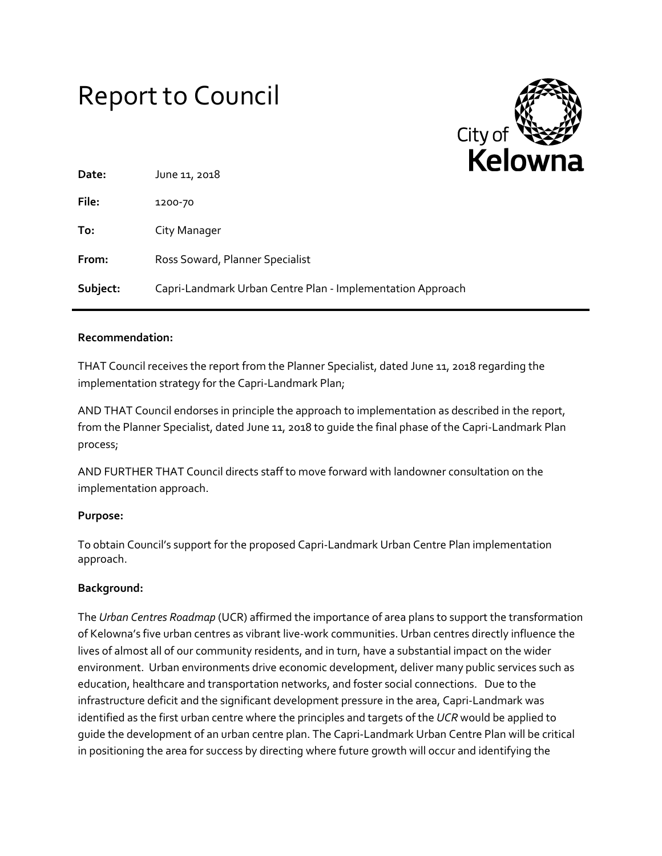# Report to Council



| Date:    | June 11, 2018                                              |
|----------|------------------------------------------------------------|
| File:    | 1200-70                                                    |
| To:      | City Manager                                               |
| From:    | Ross Soward, Planner Specialist                            |
| Subject: | Capri-Landmark Urban Centre Plan - Implementation Approach |

#### **Recommendation:**

THAT Council receives the report from the Planner Specialist, dated June 11, 2018 regarding the implementation strategy for the Capri-Landmark Plan;

AND THAT Council endorses in principle the approach to implementation as described in the report, from the Planner Specialist, dated June 11, 2018 to guide the final phase of the Capri-Landmark Plan process;

AND FURTHER THAT Council directs staff to move forward with landowner consultation on the implementation approach.

## **Purpose:**

To obtain Council's support for the proposed Capri-Landmark Urban Centre Plan implementation approach.

## **Background:**

The *Urban Centres Roadmap* (UCR) affirmed the importance of area plans to support the transformation of Kelowna's five urban centres as vibrant live-work communities. Urban centres directly influence the lives of almost all of our community residents, and in turn, have a substantial impact on the wider environment. Urban environments drive economic development, deliver many public services such as education, healthcare and transportation networks, and foster social connections. Due to the infrastructure deficit and the significant development pressure in the area, Capri-Landmark was identified as the first urban centre where the principles and targets of the *UCR* would be applied to guide the development of an urban centre plan. The Capri-Landmark Urban Centre Plan will be critical in positioning the area for success by directing where future growth will occur and identifying the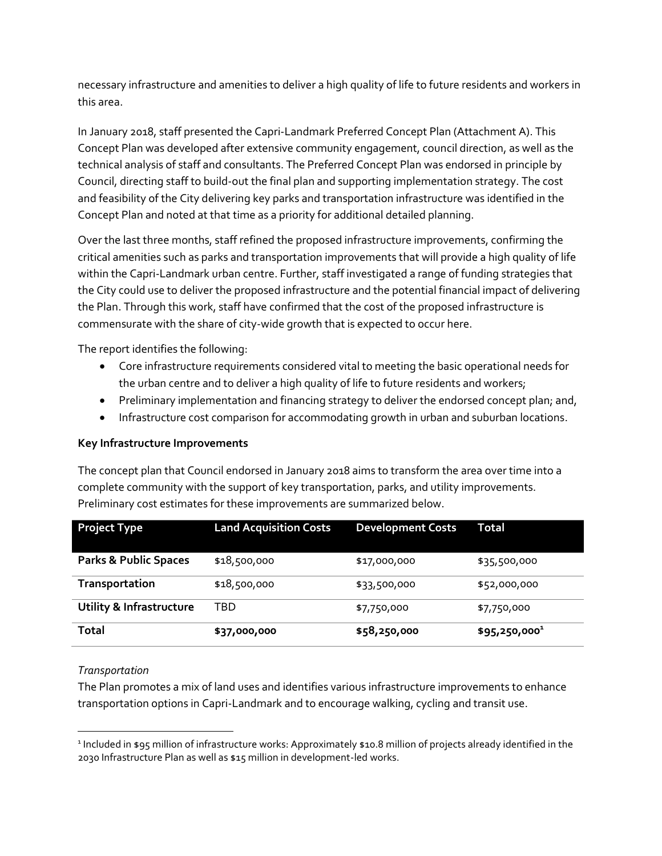necessary infrastructure and amenities to deliver a high quality of life to future residents and workers in this area.

In January 2018, staff presented the Capri-Landmark Preferred Concept Plan (Attachment A). This Concept Plan was developed after extensive community engagement, council direction, as well as the technical analysis of staff and consultants. The Preferred Concept Plan was endorsed in principle by Council, directing staff to build-out the final plan and supporting implementation strategy. The cost and feasibility of the City delivering key parks and transportation infrastructure was identified in the Concept Plan and noted at that time as a priority for additional detailed planning.

Over the last three months, staff refined the proposed infrastructure improvements, confirming the critical amenities such as parks and transportation improvements that will provide a high quality of life within the Capri-Landmark urban centre. Further, staff investigated a range of funding strategies that the City could use to deliver the proposed infrastructure and the potential financial impact of delivering the Plan. Through this work, staff have confirmed that the cost of the proposed infrastructure is commensurate with the share of city-wide growth that is expected to occur here.

The report identifies the following:

- Core infrastructure requirements considered vital to meeting the basic operational needs for the urban centre and to deliver a high quality of life to future residents and workers;
- Preliminary implementation and financing strategy to deliver the endorsed concept plan; and,
- Infrastructure cost comparison for accommodating growth in urban and suburban locations.

## **Key Infrastructure Improvements**

The concept plan that Council endorsed in January 2018 aims to transform the area over time into a complete community with the support of key transportation, parks, and utility improvements. Preliminary cost estimates for these improvements are summarized below.

| <b>Project Type</b>                 | <b>Land Acquisition Costs</b> | <b>Development Costs</b> | Total           |
|-------------------------------------|-------------------------------|--------------------------|-----------------|
| <b>Parks &amp; Public Spaces</b>    | \$18,500,000                  | \$17,000,000             | \$35,500,000    |
| <b>Transportation</b>               | \$18,500,000                  | \$33,500,000             | \$52,000,000    |
| <b>Utility &amp; Infrastructure</b> | TBD                           | \$7,750,000              | \$7,750,000     |
| Total                               | \$37,000,000                  | \$58,250,000             | $$95,250,000^1$ |

## *Transportation*

The Plan promotes a mix of land uses and identifies various infrastructure improvements to enhance transportation options in Capri-Landmark and to encourage walking, cycling and transit use.

 $\overline{\phantom{a}}$ 1 Included in \$95 million of infrastructure works: Approximately \$10.8 million of projects already identified in the 2030 Infrastructure Plan as well as \$15 million in development-led works.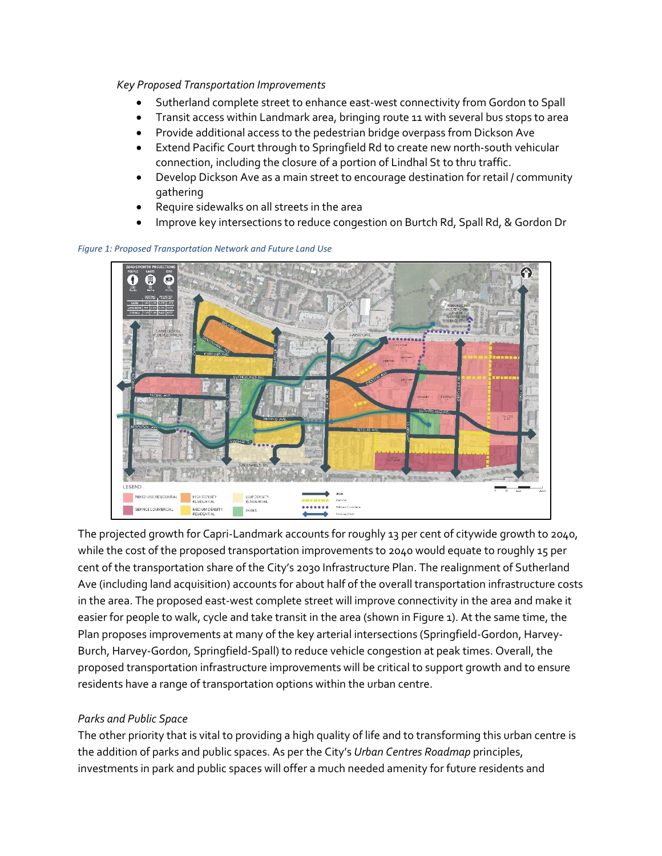#### *Key Proposed Transportation Improvements*

- Sutherland complete street to enhance east-west connectivity from Gordon to Spall
- Transit access within Landmark area, bringing route 11 with several bus stops to area
- Provide additional access to the pedestrian bridge overpass from Dickson Ave
- Extend Pacific Court through to Springfield Rd to create new north-south vehicular connection, including the closure of a portion of Lindhal St to thru traffic.
- Develop Dickson Ave as a main street to encourage destination for retail / community gathering
- Require sidewalks on all streets in the area
- Improve key intersections to reduce congestion on Burtch Rd, Spall Rd, & Gordon Dr



*Figure 1: Proposed Transportation Network and Future Land Use*

The projected growth for Capri-Landmark accounts for roughly 13 per cent of citywide growth to 2040, while the cost of the proposed transportation improvements to 2040 would equate to roughly 15 per cent of the transportation share of the City's 2030 Infrastructure Plan. The realignment of Sutherland Ave (including land acquisition) accounts for about half of the overall transportation infrastructure costs in the area. The proposed east-west complete street will improve connectivity in the area and make it easier for people to walk, cycle and take transit in the area (shown in Figure 1). At the same time, the Plan proposes improvements at many of the key arterial intersections (Springfield-Gordon, Harvey-Burch, Harvey-Gordon, Springfield-Spall) to reduce vehicle congestion at peak times. Overall, the proposed transportation infrastructure improvements will be critical to support growth and to ensure residents have a range of transportation options within the urban centre.

## *Parks and Public Space*

The other priority that is vital to providing a high quality of life and to transforming this urban centre is the addition of parks and public spaces. As per the City's *Urban Centres Roadmap* principles, investments in park and public spaces will offer a much needed amenity for future residents and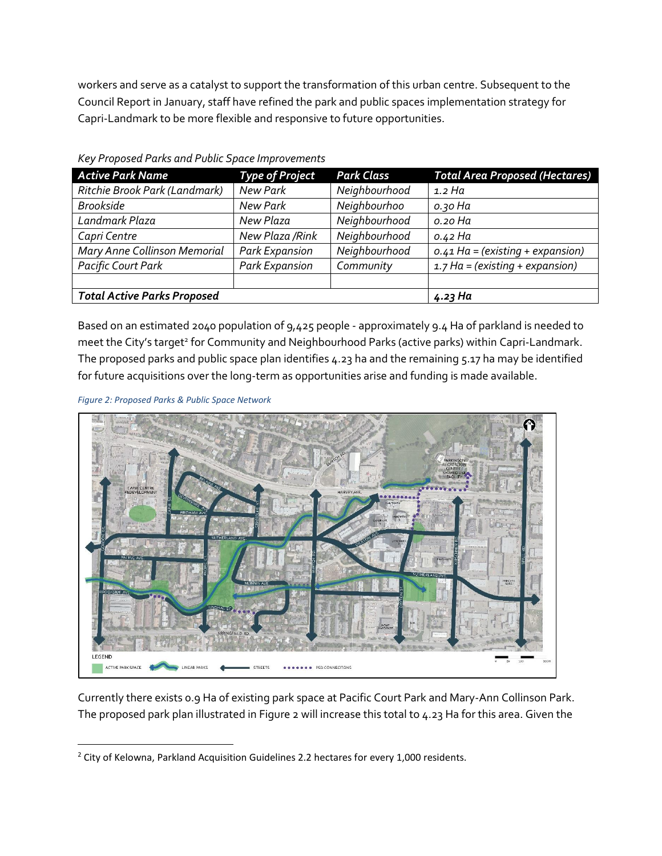workers and serve as a catalyst to support the transformation of this urban centre. Subsequent to the Council Report in January, staff have refined the park and public spaces implementation strategy for Capri-Landmark to be more flexible and responsive to future opportunities.

| <b>Active Park Name</b>            | <b>Type of Project</b> | <b>Park Class</b> | <b>Total Area Proposed (Hectares)</b> |
|------------------------------------|------------------------|-------------------|---------------------------------------|
| Ritchie Brook Park (Landmark)      | New Park               | Neighbourhood     | 1.2 Ha                                |
| <b>Brookside</b>                   | New Park               | Neighbourhoo      | о. зо На                              |
| Landmark Plaza                     | New Plaza              | Neighbourhood     | o.20 Ha                               |
| Capri Centre                       | New Plaza /Rink        | Neighbourhood     | o.42 Ha                               |
| Mary Anne Collinson Memorial       | <b>Park Expansion</b>  | Neighbourhood     | $0.41$ Ha = (existing + expansion)    |
| <b>Pacific Court Park</b>          | <b>Park Expansion</b>  | Community         | $1.7$ Ha = (existing + expansion)     |
|                                    |                        |                   |                                       |
| <b>Total Active Parks Proposed</b> | 4.23 Ha                |                   |                                       |

*Key Proposed Parks and Public Space Improvements* 

Based on an estimated 2040 population of 9,425 people - approximately 9.4 Ha of parkland is needed to meet the City's target<sup>2</sup> for Community and Neighbourhood Parks (active parks) within Capri-Landmark. The proposed parks and public space plan identifies 4.23 ha and the remaining 5.17 ha may be identified for future acquisitions over the long-term as opportunities arise and funding is made available.



 $\overline{\phantom{a}}$ 



Currently there exists 0.9 Ha of existing park space at Pacific Court Park and Mary-Ann Collinson Park. The proposed park plan illustrated in Figure 2 will increase this total to 4.23 Ha for this area. Given the

<sup>&</sup>lt;sup>2</sup> City of Kelowna, Parkland Acquisition Guidelines 2.2 hectares for every 1,000 residents.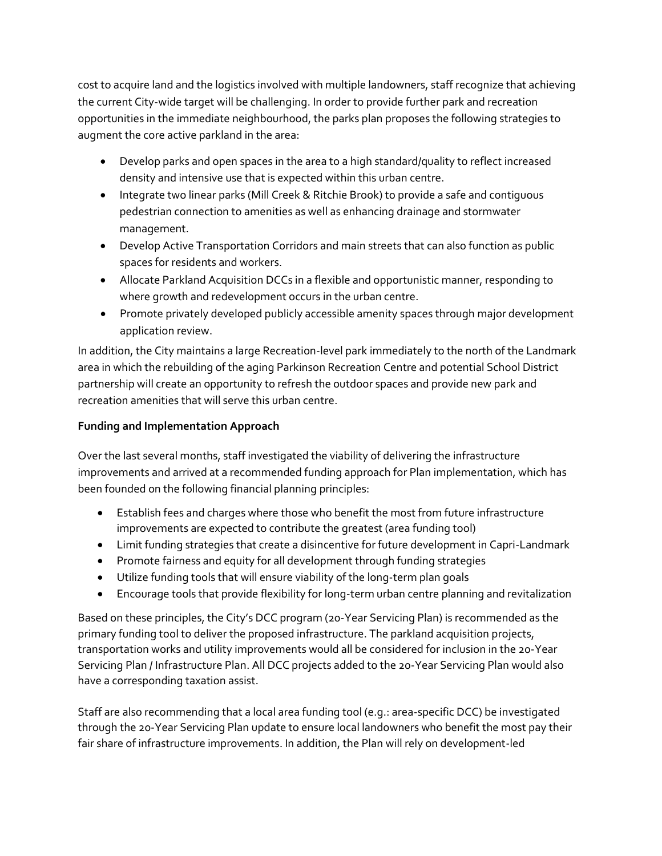cost to acquire land and the logistics involved with multiple landowners, staff recognize that achieving the current City-wide target will be challenging. In order to provide further park and recreation opportunities in the immediate neighbourhood, the parks plan proposes the following strategies to augment the core active parkland in the area:

- Develop parks and open spaces in the area to a high standard/quality to reflect increased density and intensive use that is expected within this urban centre.
- Integrate two linear parks (Mill Creek & Ritchie Brook) to provide a safe and contiguous pedestrian connection to amenities as well as enhancing drainage and stormwater management.
- Develop Active Transportation Corridors and main streets that can also function as public spaces for residents and workers.
- Allocate Parkland Acquisition DCCs in a flexible and opportunistic manner, responding to where growth and redevelopment occurs in the urban centre.
- Promote privately developed publicly accessible amenity spaces through major development application review.

In addition, the City maintains a large Recreation-level park immediately to the north of the Landmark area in which the rebuilding of the aging Parkinson Recreation Centre and potential School District partnership will create an opportunity to refresh the outdoor spaces and provide new park and recreation amenities that will serve this urban centre.

# **Funding and Implementation Approach**

Over the last several months, staff investigated the viability of delivering the infrastructure improvements and arrived at a recommended funding approach for Plan implementation, which has been founded on the following financial planning principles:

- Establish fees and charges where those who benefit the most from future infrastructure improvements are expected to contribute the greatest (area funding tool)
- Limit funding strategies that create a disincentive for future development in Capri-Landmark
- Promote fairness and equity for all development through funding strategies
- Utilize funding tools that will ensure viability of the long-term plan goals
- Encourage tools that provide flexibility for long-term urban centre planning and revitalization

Based on these principles, the City's DCC program (20-Year Servicing Plan) is recommended as the primary funding tool to deliver the proposed infrastructure. The parkland acquisition projects, transportation works and utility improvements would all be considered for inclusion in the 20-Year Servicing Plan / Infrastructure Plan. All DCC projects added to the 20-Year Servicing Plan would also have a corresponding taxation assist.

Staff are also recommending that a local area funding tool (e.g.: area-specific DCC) be investigated through the 20-Year Servicing Plan update to ensure local landowners who benefit the most pay their fair share of infrastructure improvements. In addition, the Plan will rely on development-led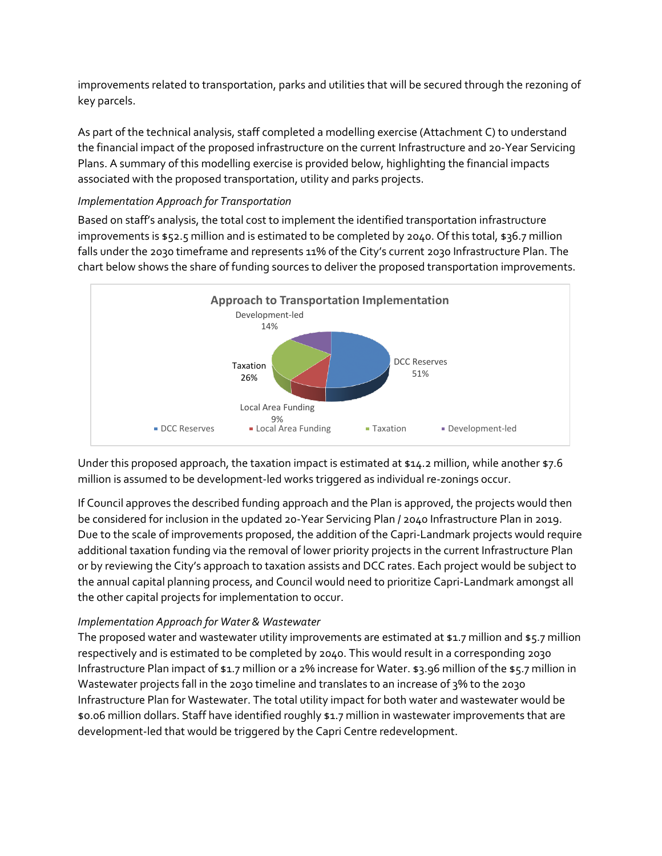improvements related to transportation, parks and utilities that will be secured through the rezoning of key parcels.

As part of the technical analysis, staff completed a modelling exercise (Attachment C) to understand the financial impact of the proposed infrastructure on the current Infrastructure and 20-Year Servicing Plans. A summary of this modelling exercise is provided below, highlighting the financial impacts associated with the proposed transportation, utility and parks projects.

## *Implementation Approach for Transportation*

Based on staff's analysis, the total cost to implement the identified transportation infrastructure improvements is \$52.5 million and is estimated to be completed by 2040. Of this total, \$36.7 million falls under the 2030 timeframe and represents 11% of the City's current 2030 Infrastructure Plan. The chart below shows the share of funding sources to deliver the proposed transportation improvements.



Under this proposed approach, the taxation impact is estimated at \$14.2 million, while another \$7.6 million is assumed to be development-led works triggered as individual re-zonings occur.

If Council approves the described funding approach and the Plan is approved, the projects would then be considered for inclusion in the updated 20-Year Servicing Plan / 2040 Infrastructure Plan in 2019. Due to the scale of improvements proposed, the addition of the Capri-Landmark projects would require additional taxation funding via the removal of lower priority projects in the current Infrastructure Plan or by reviewing the City's approach to taxation assists and DCC rates. Each project would be subject to the annual capital planning process, and Council would need to prioritize Capri-Landmark amongst all the other capital projects for implementation to occur.

## *Implementation Approach for Water & Wastewater*

The proposed water and wastewater utility improvements are estimated at \$1.7 million and \$5.7 million respectively and is estimated to be completed by 2040. This would result in a corresponding 2030 Infrastructure Plan impact of \$1.7 million or a 2% increase for Water. \$3.96 million of the \$5.7 million in Wastewater projects fall in the 2030 timeline and translates to an increase of 3% to the 2030 Infrastructure Plan for Wastewater. The total utility impact for both water and wastewater would be \$0.06 million dollars. Staff have identified roughly \$1.7 million in wastewater improvements that are development-led that would be triggered by the Capri Centre redevelopment.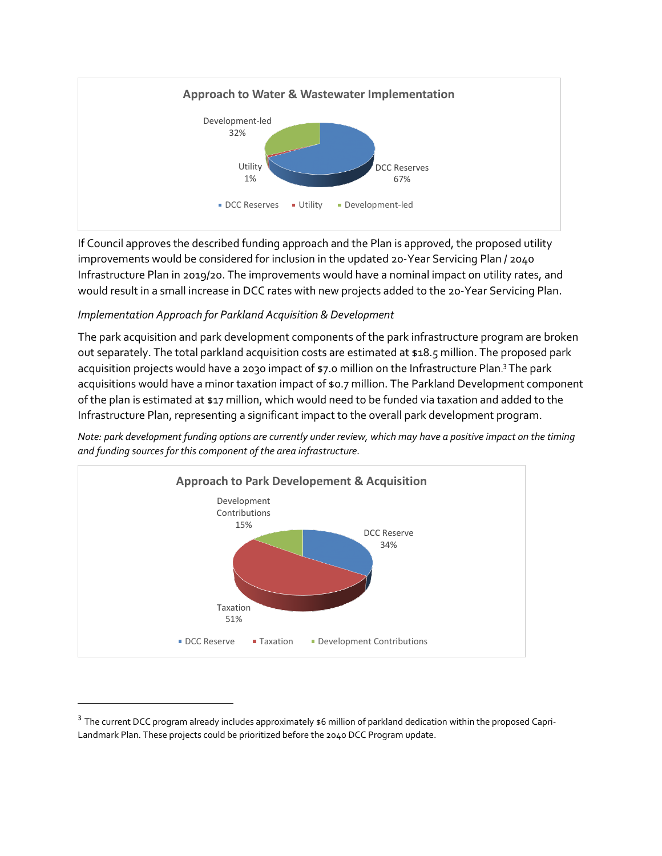

If Council approves the described funding approach and the Plan is approved, the proposed utility improvements would be considered for inclusion in the updated 20-Year Servicing Plan / 2040 Infrastructure Plan in 2019/20. The improvements would have a nominal impact on utility rates, and would result in a small increase in DCC rates with new projects added to the 20-Year Servicing Plan.

## *Implementation Approach for Parkland Acquisition & Development*

l

The park acquisition and park development components of the park infrastructure program are broken out separately. The total parkland acquisition costs are estimated at \$18.5 million. The proposed park acquisition projects would have a 2030 impact of \$7.0 million on the Infrastructure Plan.<sup>3</sup> The park acquisitions would have a minor taxation impact of \$0.7 million. The Parkland Development component of the plan is estimated at \$17 million, which would need to be funded via taxation and added to the Infrastructure Plan, representing a significant impact to the overall park development program.

*Note: park development funding options are currently under review, which may have a positive impact on the timing and funding sources for this component of the area infrastructure.* 



 $^3$  The current DCC program already includes approximately  $\sharp 6$  million of parkland dedication within the proposed Capri-Landmark Plan. These projects could be prioritized before the 2040 DCC Program update.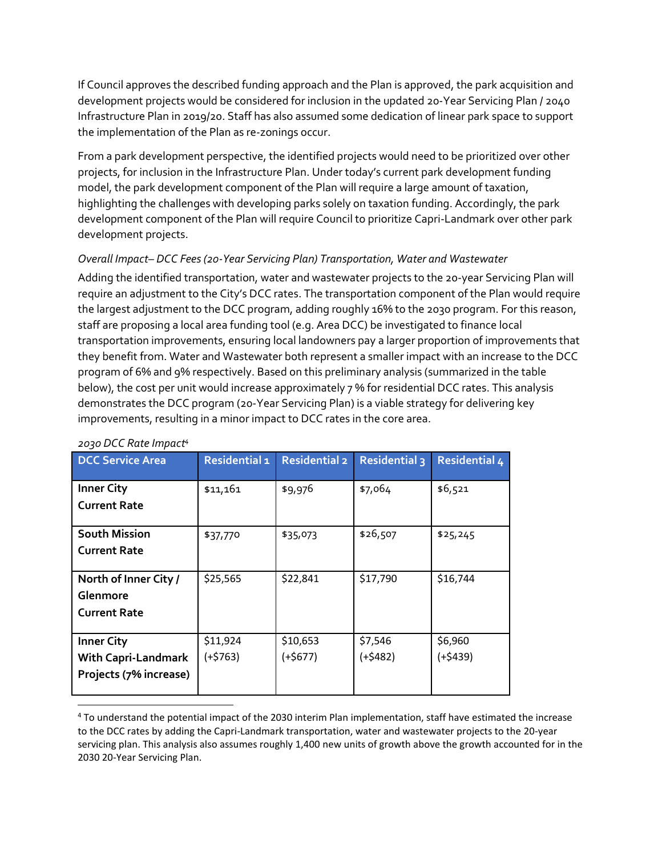If Council approves the described funding approach and the Plan is approved, the park acquisition and development projects would be considered for inclusion in the updated 20-Year Servicing Plan / 2040 Infrastructure Plan in 2019/20. Staff has also assumed some dedication of linear park space to support the implementation of the Plan as re-zonings occur.

From a park development perspective, the identified projects would need to be prioritized over other projects, for inclusion in the Infrastructure Plan. Under today's current park development funding model, the park development component of the Plan will require a large amount of taxation, highlighting the challenges with developing parks solely on taxation funding. Accordingly, the park development component of the Plan will require Council to prioritize Capri-Landmark over other park development projects.

## *Overall Impact– DCC Fees (20-Year Servicing Plan) Transportation, Water and Wastewater*

Adding the identified transportation, water and wastewater projects to the 20-year Servicing Plan will require an adjustment to the City's DCC rates. The transportation component of the Plan would require the largest adjustment to the DCC program, adding roughly 16% to the 2030 program. For this reason, staff are proposing a local area funding tool (e.g. Area DCC) be investigated to finance local transportation improvements, ensuring local landowners pay a larger proportion of improvements that they benefit from. Water and Wastewater both represent a smaller impact with an increase to the DCC program of 6% and 9% respectively. Based on this preliminary analysis (summarized in the table below), the cost per unit would increase approximately 7 % for residential DCC rates. This analysis demonstrates the DCC program (20-Year Servicing Plan) is a viable strategy for delivering key improvements, resulting in a minor impact to DCC rates in the core area.

| <b>DCC Service Area</b>    | Residential 1 | <b>Residential 2</b> | <b>Residential 3</b> | <b>Residential 4</b> |
|----------------------------|---------------|----------------------|----------------------|----------------------|
| <b>Inner City</b>          | \$11,161      | \$9,976              | \$7,064              | \$6,521              |
| <b>Current Rate</b>        |               |                      |                      |                      |
|                            |               |                      |                      |                      |
| <b>South Mission</b>       | \$37,770      | \$35,073             | \$26,507             | \$25,245             |
| <b>Current Rate</b>        |               |                      |                      |                      |
|                            |               |                      |                      |                      |
| North of Inner City /      | \$25,565      | \$22,841             | \$17,790             | \$16,744             |
| Glenmore                   |               |                      |                      |                      |
| <b>Current Rate</b>        |               |                      |                      |                      |
|                            |               |                      |                      |                      |
| <b>Inner City</b>          | \$11,924      | \$10,653             | \$7,546              | \$6,960              |
| <b>With Capri-Landmark</b> | $(+$763)$     | $(+$677)$            | $(+$482)$            | $(+$439)$            |
| Projects (7% increase)     |               |                      |                      |                      |
|                            |               |                      |                      |                      |
|                            |               |                      |                      |                      |

## *2030 DCC Rate Impact<sup>4</sup>*

<sup>4</sup> To understand the potential impact of the 2030 interim Plan implementation, staff have estimated the increase to the DCC rates by adding the Capri-Landmark transportation, water and wastewater projects to the 20-year servicing plan. This analysis also assumes roughly 1,400 new units of growth above the growth accounted for in the 2030 20-Year Servicing Plan.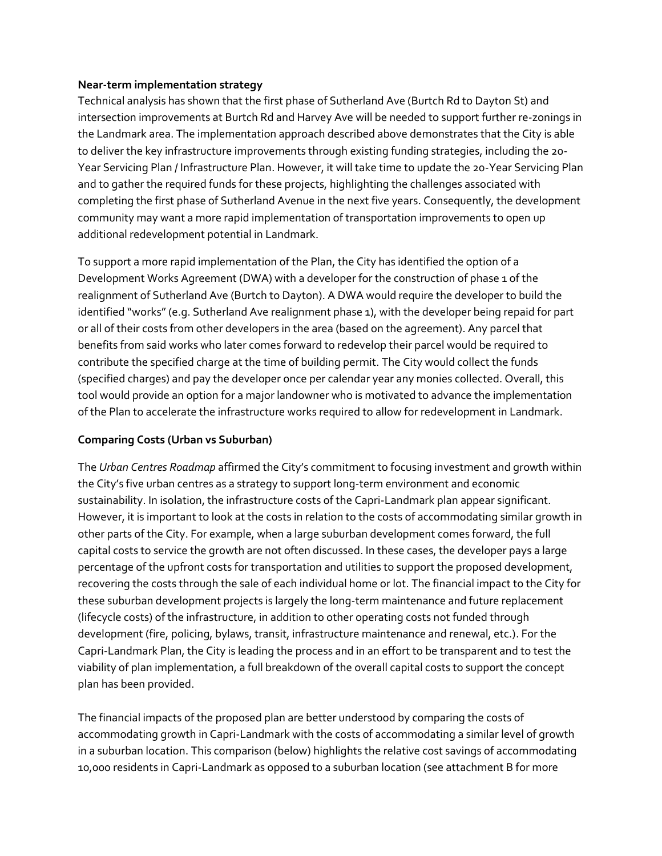## **Near-term implementation strategy**

Technical analysis has shown that the first phase of Sutherland Ave (Burtch Rd to Dayton St) and intersection improvements at Burtch Rd and Harvey Ave will be needed to support further re-zonings in the Landmark area. The implementation approach described above demonstrates that the City is able to deliver the key infrastructure improvements through existing funding strategies, including the 20- Year Servicing Plan / Infrastructure Plan. However, it will take time to update the 20-Year Servicing Plan and to gather the required funds for these projects, highlighting the challenges associated with completing the first phase of Sutherland Avenue in the next five years. Consequently, the development community may want a more rapid implementation of transportation improvements to open up additional redevelopment potential in Landmark.

To support a more rapid implementation of the Plan, the City has identified the option of a Development Works Agreement (DWA) with a developer for the construction of phase 1 of the realignment of Sutherland Ave (Burtch to Dayton). A DWA would require the developer to build the identified "works" (e.g. Sutherland Ave realignment phase 1), with the developer being repaid for part or all of their costs from other developers in the area (based on the agreement). Any parcel that benefits from said works who later comes forward to redevelop their parcel would be required to contribute the specified charge at the time of building permit. The City would collect the funds (specified charges) and pay the developer once per calendar year any monies collected. Overall, this tool would provide an option for a major landowner who is motivated to advance the implementation of the Plan to accelerate the infrastructure works required to allow for redevelopment in Landmark.

## **Comparing Costs (Urban vs Suburban)**

The *Urban Centres Roadmap* affirmed the City's commitment to focusing investment and growth within the City's five urban centres as a strategy to support long-term environment and economic sustainability. In isolation, the infrastructure costs of the Capri-Landmark plan appear significant. However, it is important to look at the costs in relation to the costs of accommodating similar growth in other parts of the City. For example, when a large suburban development comes forward, the full capital costs to service the growth are not often discussed. In these cases, the developer pays a large percentage of the upfront costs for transportation and utilities to support the proposed development, recovering the costs through the sale of each individual home or lot. The financial impact to the City for these suburban development projects is largely the long-term maintenance and future replacement (lifecycle costs) of the infrastructure, in addition to other operating costs not funded through development (fire, policing, bylaws, transit, infrastructure maintenance and renewal, etc.). For the Capri-Landmark Plan, the City is leading the process and in an effort to be transparent and to test the viability of plan implementation, a full breakdown of the overall capital costs to support the concept plan has been provided.

The financial impacts of the proposed plan are better understood by comparing the costs of accommodating growth in Capri-Landmark with the costs of accommodating a similar level of growth in a suburban location. This comparison (below) highlights the relative cost savings of accommodating 10,000 residents in Capri-Landmark as opposed to a suburban location (see attachment B for more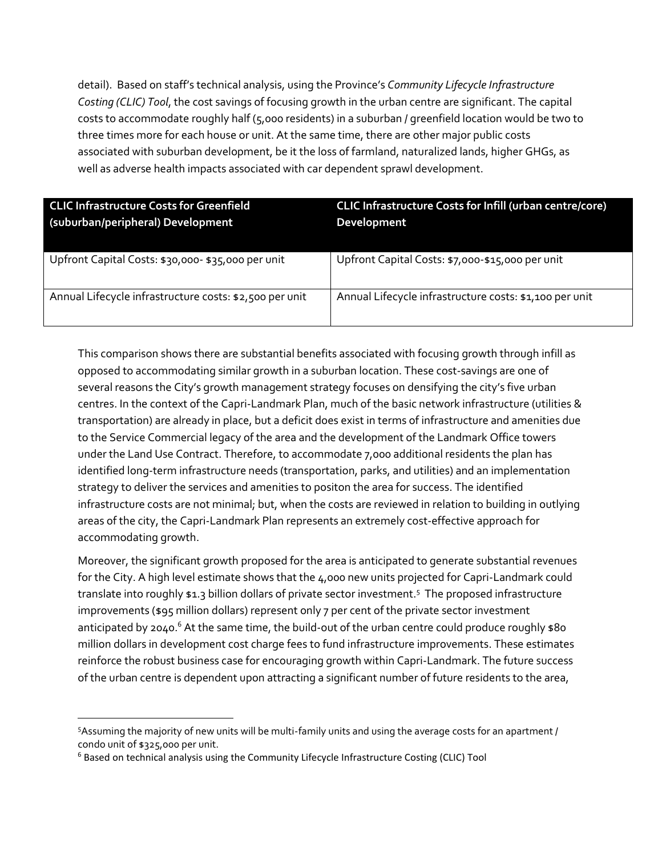detail). Based on staff's technical analysis, using the Province's *Community Lifecycle Infrastructure Costing (CLIC) Tool*, the cost savings of focusing growth in the urban centre are significant. The capital costs to accommodate roughly half (5,000 residents) in a suburban / greenfield location would be two to three times more for each house or unit. At the same time, there are other major public costs associated with suburban development, be it the loss of farmland, naturalized lands, higher GHGs, as well as adverse health impacts associated with car dependent sprawl development.

| <b>CLIC Infrastructure Costs for Greenfield</b><br>(suburban/peripheral) Development | <b>CLIC Infrastructure Costs for Infill (urban centre/core)</b><br>Development |
|--------------------------------------------------------------------------------------|--------------------------------------------------------------------------------|
| Upfront Capital Costs: \$30,000-\$35,000 per unit                                    | Upfront Capital Costs: \$7,000-\$15,000 per unit                               |
| Annual Lifecycle infrastructure costs: \$2,500 per unit                              | Annual Lifecycle infrastructure costs: \$1,100 per unit                        |

This comparison shows there are substantial benefits associated with focusing growth through infill as opposed to accommodating similar growth in a suburban location. These cost-savings are one of several reasons the City's growth management strategy focuses on densifying the city's five urban centres. In the context of the Capri-Landmark Plan, much of the basic network infrastructure (utilities & transportation) are already in place, but a deficit does exist in terms of infrastructure and amenities due to the Service Commercial legacy of the area and the development of the Landmark Office towers under the Land Use Contract. Therefore, to accommodate 7,000 additional residents the plan has identified long-term infrastructure needs (transportation, parks, and utilities) and an implementation strategy to deliver the services and amenities to positon the area for success. The identified infrastructure costs are not minimal; but, when the costs are reviewed in relation to building in outlying areas of the city, the Capri-Landmark Plan represents an extremely cost-effective approach for accommodating growth.

Moreover, the significant growth proposed for the area is anticipated to generate substantial revenues for the City. A high level estimate shows that the 4,000 new units projected for Capri-Landmark could translate into roughly \$1.3 billion dollars of private sector investment.<sup>5</sup> The proposed infrastructure improvements (\$95 million dollars) represent only 7 per cent of the private sector investment anticipated by 2040.<sup>6</sup> At the same time, the build-out of the urban centre could produce roughly  $$80$ million dollars in development cost charge fees to fund infrastructure improvements. These estimates reinforce the robust business case for encouraging growth within Capri-Landmark. The future success of the urban centre is dependent upon attracting a significant number of future residents to the area,

 $\overline{\phantom{a}}$ 

<sup>5</sup>Assuming the majority of new units will be multi-family units and using the average costs for an apartment / condo unit of \$325,000 per unit.

<sup>6</sup> Based on technical analysis using the Community Lifecycle Infrastructure Costing (CLIC) Tool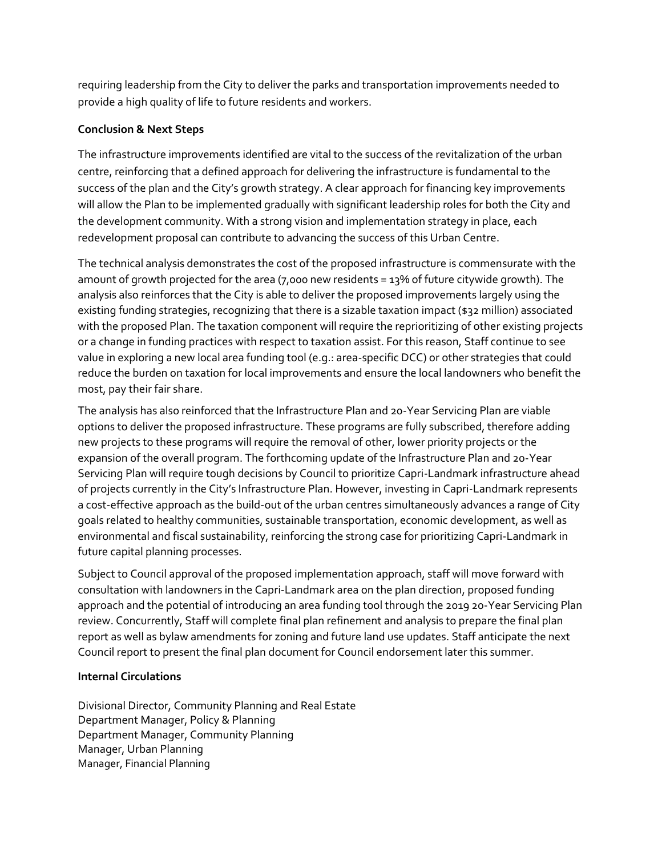requiring leadership from the City to deliver the parks and transportation improvements needed to provide a high quality of life to future residents and workers.

## **Conclusion & Next Steps**

The infrastructure improvements identified are vital to the success of the revitalization of the urban centre, reinforcing that a defined approach for delivering the infrastructure is fundamental to the success of the plan and the City's growth strategy. A clear approach for financing key improvements will allow the Plan to be implemented gradually with significant leadership roles for both the City and the development community. With a strong vision and implementation strategy in place, each redevelopment proposal can contribute to advancing the success of this Urban Centre.

The technical analysis demonstrates the cost of the proposed infrastructure is commensurate with the amount of growth projected for the area (7,000 new residents = 13% of future citywide growth). The analysis also reinforces that the City is able to deliver the proposed improvements largely using the existing funding strategies, recognizing that there is a sizable taxation impact (\$32 million) associated with the proposed Plan. The taxation component will require the reprioritizing of other existing projects or a change in funding practices with respect to taxation assist. For this reason, Staff continue to see value in exploring a new local area funding tool (e.g.: area-specific DCC) or other strategies that could reduce the burden on taxation for local improvements and ensure the local landowners who benefit the most, pay their fair share.

The analysis has also reinforced that the Infrastructure Plan and 20-Year Servicing Plan are viable options to deliver the proposed infrastructure. These programs are fully subscribed, therefore adding new projects to these programs will require the removal of other, lower priority projects or the expansion of the overall program. The forthcoming update of the Infrastructure Plan and 20-Year Servicing Plan will require tough decisions by Council to prioritize Capri-Landmark infrastructure ahead of projects currently in the City's Infrastructure Plan. However, investing in Capri-Landmark represents a cost-effective approach as the build-out of the urban centres simultaneously advances a range of City goals related to healthy communities, sustainable transportation, economic development, as well as environmental and fiscal sustainability, reinforcing the strong case for prioritizing Capri-Landmark in future capital planning processes.

Subject to Council approval of the proposed implementation approach, staff will move forward with consultation with landowners in the Capri-Landmark area on the plan direction, proposed funding approach and the potential of introducing an area funding tool through the 2019 20-Year Servicing Plan review. Concurrently, Staff will complete final plan refinement and analysis to prepare the final plan report as well as bylaw amendments for zoning and future land use updates. Staff anticipate the next Council report to present the final plan document for Council endorsement later this summer.

## **Internal Circulations**

Divisional Director, Community Planning and Real Estate Department Manager, Policy & Planning Department Manager, Community Planning Manager, Urban Planning Manager, Financial Planning